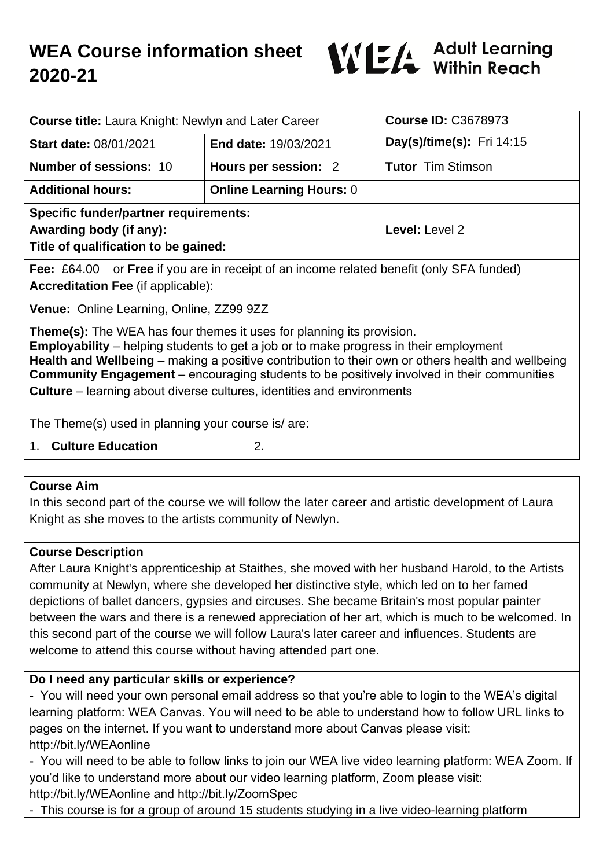

| <b>Course title:</b> Laura Knight: Newlyn and Later Career                                                                                                                                                                                                                                                                                                                      |                                 | <b>Course ID: C3678973</b> |
|---------------------------------------------------------------------------------------------------------------------------------------------------------------------------------------------------------------------------------------------------------------------------------------------------------------------------------------------------------------------------------|---------------------------------|----------------------------|
| <b>Start date: 08/01/2021</b>                                                                                                                                                                                                                                                                                                                                                   | End date: 19/03/2021            | Day(s)/time(s): Fri 14:15  |
| <b>Number of sessions: 10</b>                                                                                                                                                                                                                                                                                                                                                   | Hours per session: 2            | <b>Tutor Tim Stimson</b>   |
| <b>Additional hours:</b>                                                                                                                                                                                                                                                                                                                                                        | <b>Online Learning Hours: 0</b> |                            |
| <b>Specific funder/partner requirements:</b>                                                                                                                                                                                                                                                                                                                                    |                                 |                            |
| Awarding body (if any):                                                                                                                                                                                                                                                                                                                                                         |                                 | Level: Level 2             |
| Title of qualification to be gained:                                                                                                                                                                                                                                                                                                                                            |                                 |                            |
| <b>Fee:</b> £64.00 or <b>Free</b> if you are in receipt of an income related benefit (only SFA funded)                                                                                                                                                                                                                                                                          |                                 |                            |
| <b>Accreditation Fee (if applicable):</b>                                                                                                                                                                                                                                                                                                                                       |                                 |                            |
| Venue: Online Learning, Online, ZZ99 9ZZ                                                                                                                                                                                                                                                                                                                                        |                                 |                            |
| Theme(s): The WEA has four themes it uses for planning its provision.<br><b>Employability</b> – helping students to get a job or to make progress in their employment<br>Health and Wellbeing – making a positive contribution to their own or others health and wellbeing<br><b>Community Engagement</b> – encouraging students to be positively involved in their communities |                                 |                            |
| <b>Culture</b> – learning about diverse cultures, identities and environments                                                                                                                                                                                                                                                                                                   |                                 |                            |
| The Theme(s) used in planning your course is/ are:                                                                                                                                                                                                                                                                                                                              |                                 |                            |
| <b>Culture Education</b><br>2.<br>1.                                                                                                                                                                                                                                                                                                                                            |                                 |                            |

#### **Course Aim**

In this second part of the course we will follow the later career and artistic development of Laura Knight as she moves to the artists community of Newlyn.

### **Course Description**

After Laura Knight's apprenticeship at Staithes, she moved with her husband Harold, to the Artists community at Newlyn, where she developed her distinctive style, which led on to her famed depictions of ballet dancers, gypsies and circuses. She became Britain's most popular painter between the wars and there is a renewed appreciation of her art, which is much to be welcomed. In this second part of the course we will follow Laura's later career and influences. Students are welcome to attend this course without having attended part one.

### **Do I need any particular skills or experience?**

- You will need your own personal email address so that you're able to login to the WEA's digital learning platform: WEA Canvas. You will need to be able to understand how to follow URL links to pages on the internet. If you want to understand more about Canvas please visit: http://bit.ly/WEAonline

- You will need to be able to follow links to join our WEA live video learning platform: WEA Zoom. If you'd like to understand more about our video learning platform, Zoom please visit:

http://bit.ly/WEAonline and http://bit.ly/ZoomSpec

- This course is for a group of around 15 students studying in a live video-learning platform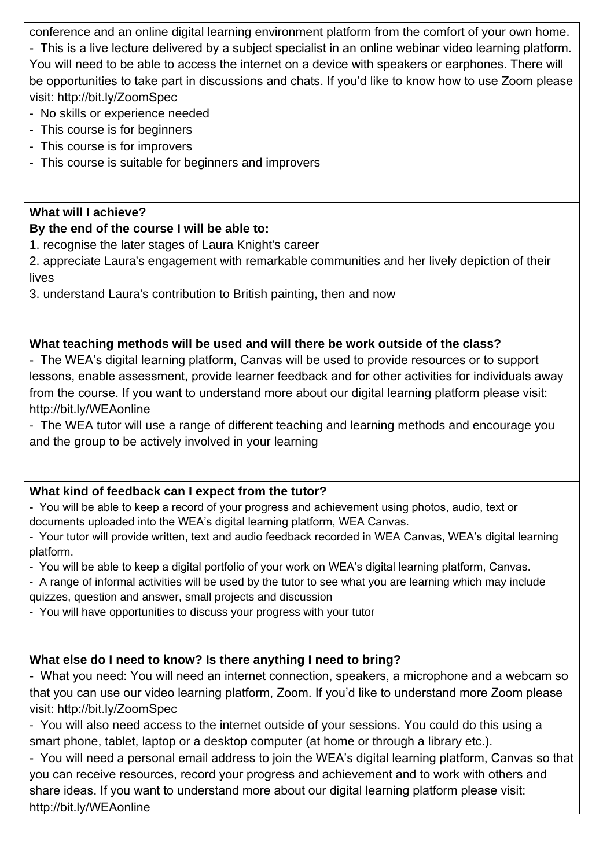conference and an online digital learning environment platform from the comfort of your own home. - This is a live lecture delivered by a subject specialist in an online webinar video learning platform. You will need to be able to access the internet on a device with speakers or earphones. There will be opportunities to take part in discussions and chats. If you'd like to know how to use Zoom please visit: http://bit.ly/ZoomSpec

- No skills or experience needed
- This course is for beginners
- This course is for improvers
- This course is suitable for beginners and improvers

#### **What will I achieve?**

#### **By the end of the course I will be able to:**

- 1. recognise the later stages of Laura Knight's career
- 2. appreciate Laura's engagement with remarkable communities and her lively depiction of their lives
- 3. understand Laura's contribution to British painting, then and now

### **What teaching methods will be used and will there be work outside of the class?**

- The WEA's digital learning platform, Canvas will be used to provide resources or to support lessons, enable assessment, provide learner feedback and for other activities for individuals away from the course. If you want to understand more about our digital learning platform please visit: http://bit.ly/WEAonline

- The WEA tutor will use a range of different teaching and learning methods and encourage you and the group to be actively involved in your learning

### **What kind of feedback can I expect from the tutor?**

- You will be able to keep a record of your progress and achievement using photos, audio, text or documents uploaded into the WEA's digital learning platform, WEA Canvas.

- Your tutor will provide written, text and audio feedback recorded in WEA Canvas, WEA's digital learning platform.

- You will be able to keep a digital portfolio of your work on WEA's digital learning platform, Canvas.
- A range of informal activities will be used by the tutor to see what you are learning which may include quizzes, question and answer, small projects and discussion
- You will have opportunities to discuss your progress with your tutor

### **What else do I need to know? Is there anything I need to bring?**

- What you need: You will need an internet connection, speakers, a microphone and a webcam so that you can use our video learning platform, Zoom. If you'd like to understand more Zoom please visit: http://bit.ly/ZoomSpec

- You will also need access to the internet outside of your sessions. You could do this using a smart phone, tablet, laptop or a desktop computer (at home or through a library etc.).

- You will need a personal email address to join the WEA's digital learning platform, Canvas so that you can receive resources, record your progress and achievement and to work with others and share ideas. If you want to understand more about our digital learning platform please visit: http://bit.ly/WEAonline